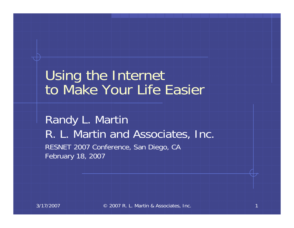#### Using the Internet to Make Your Life Easier

Randy L. Martin R. L. Martin and Associates, Inc. RESNET 2007 Conference, San Diego, CA February 18, 2007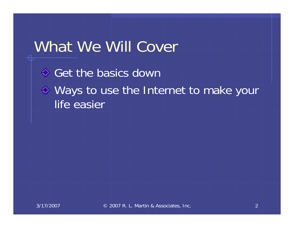### What We Will Cover

Get the basics down Ways to use the Internet to make your life easier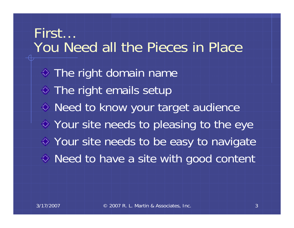First…You Need all the Pieces in Place**♦ The right domain name**  $\diamond$  The right emails setup Need to know your target audience Your site needs to pleasing to the eye Your site needs to be easy to navigate ◆ Need to have a site with good content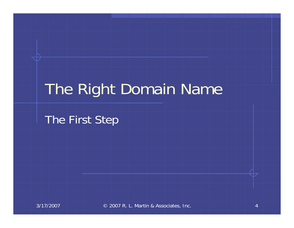## The Right Domain Name

The First Step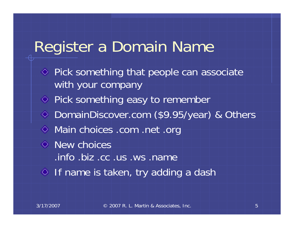### Register a Domain Name

 $\Diamond$  Pick something that people can associate with your company ◆ Pick something easy to remember DomainDiscover.com (\$9.95/year) & Others Main choices .com .net .org  $\Diamond$  New choices .info .biz .cc .us .ws .name  $\Diamond$  If name is taken, try adding a dash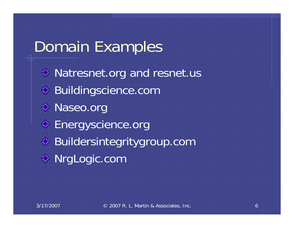## Domain Examples

◆ Natresnet.org and resnet.us ◆ Buildingscience.com Naseo.org **♦ Energyscience.org** Buildersintegritygroup.com NrgLogic.com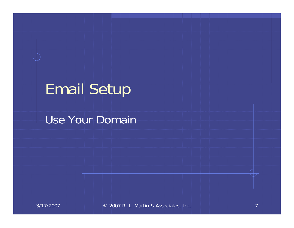## Email Setup

#### Use Your Domain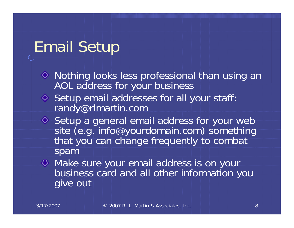## Email Setup

- $\Diamond$  Nothing looks less professional than using an AOL address for your business
- ♦ Setup email addresses for all your staff: randy@rlmartin.com
- Setup a general email address for your web<br>site (e.g. info@yourdomain.com) something that you can change frequently to combat spam
- Make sure your email address is on your business card and all other information you give out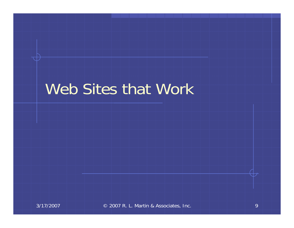## Web Sites that Work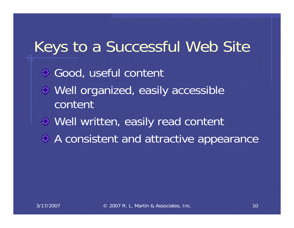## Keys to a Successful Web Site ◆ Good, useful content Well organized, easily accessible contentWell written, easily read content A consistent and attractive appearance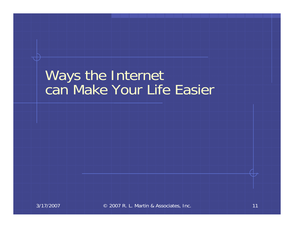#### Ways the Internet can Make Your Life Easier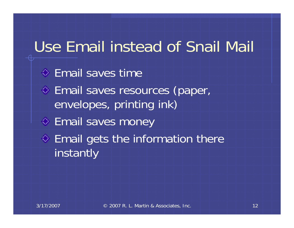# Use Email instead of Snail Mail

**♦ Email saves time** Email saves resources (paper, envelopes, printing ink) **♦ Email saves money**  $\Leftrightarrow$  Email gets the information there instantly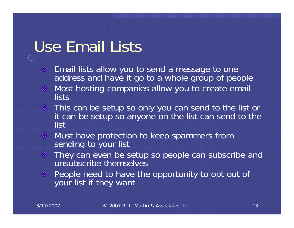## Use Email Lists

- Email lists allow you to send a message to one ◈ address and have it go to a whole group of people
- ◆ Most hosting companies allow you to create email lists
- This can be setup so only you can send to the list or it can be setup so anyone on the list can send to the list
- Must have protection to keep spammers from sending to your list
- $\Diamond$  They can even be setup so people can subscribe and unsubscribe themselves
- ◆ People need to have the opportunity to opt out of your list if they want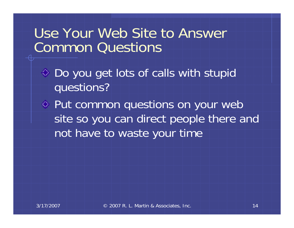#### Use Your Web Site to Answer Common Questions

- ◆ Do you get lots of calls with stupid questions?
- Put common questions on your web site so you can direct people there and not have to waste your time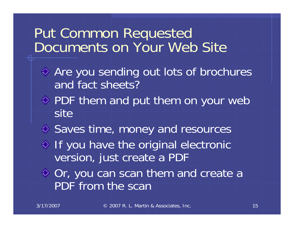#### Put Common Requested Documents on Your Web Site

- ◆ Are you sending out lots of brochures and fact sheets?
- $\Diamond$  PDF them and put them on your web site
- ♦ Saves time, money and resources
- $\Diamond$  If you have the original electronic version, just create a PDF
- ◆ Or, you can scan them and create a PDF from the scan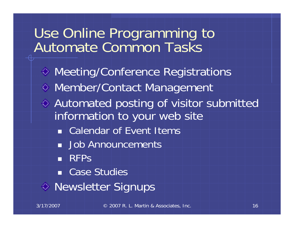#### Use Online Programming to Automate Common Tasks

**◇ Meeting/Conference Registrations** Member/Contact Management Automated posting of visitor submitted information to your web site **Example 1 Calendar of Event Items Job Announcements RFPs**  Case Studies ◆ Newsletter Signups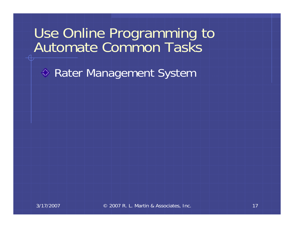#### Use Online Programming to Automate Common Tasks

◆ Rater Management System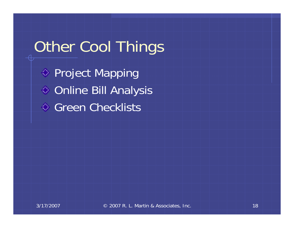## Other Cool Things

◆ Project Mapping Online Bill Analysis **♦ Green Checklists**